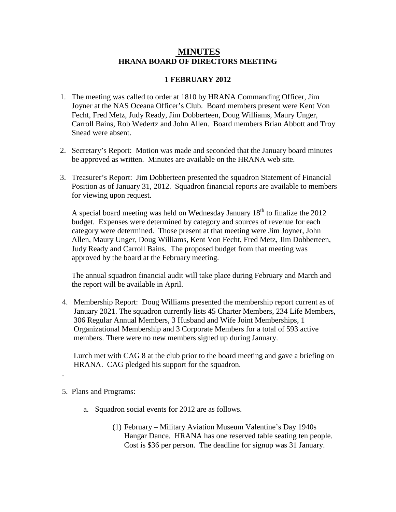## **MINUTES HRANA BOARD OF DIRECTORS MEETING**

## **1 FEBRUARY 2012**

- 1. The meeting was called to order at 1810 by HRANA Commanding Officer, Jim Joyner at the NAS Oceana Officer's Club. Board members present were Kent Von Fecht, Fred Metz, Judy Ready, Jim Dobberteen, Doug Williams, Maury Unger, Carroll Bains, Rob Wedertz and John Allen. Board members Brian Abbott and Troy Snead were absent.
- 2. Secretary's Report: Motion was made and seconded that the January board minutes be approved as written. Minutes are available on the HRANA web site.
- 3. Treasurer's Report: Jim Dobberteen presented the squadron Statement of Financial Position as of January 31, 2012. Squadron financial reports are available to members for viewing upon request.

A special board meeting was held on Wednesday January  $18<sup>th</sup>$  to finalize the 2012 budget. Expenses were determined by category and sources of revenue for each category were determined. Those present at that meeting were Jim Joyner, John Allen, Maury Unger, Doug Williams, Kent Von Fecht, Fred Metz, Jim Dobberteen, Judy Ready and Carroll Bains. The proposed budget from that meeting was approved by the board at the February meeting.

The annual squadron financial audit will take place during February and March and the report will be available in April.

4. Membership Report: Doug Williams presented the membership report current as of January 2021. The squadron currently lists 45 Charter Members, 234 Life Members, 306 Regular Annual Members, 3 Husband and Wife Joint Memberships, 1 Organizational Membership and 3 Corporate Members for a total of 593 active members. There were no new members signed up during January.

Lurch met with CAG 8 at the club prior to the board meeting and gave a briefing on HRANA. CAG pledged his support for the squadron.

5. Plans and Programs:

.

- a. Squadron social events for 2012 are as follows.
	- (1) February Military Aviation Museum Valentine's Day 1940s Hangar Dance. HRANA has one reserved table seating ten people. Cost is \$36 per person. The deadline for signup was 31 January.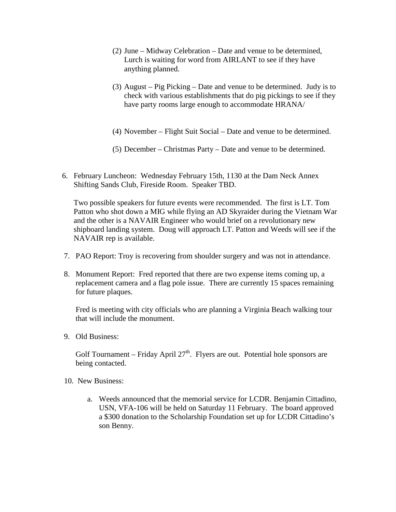- (2) June Midway Celebration Date and venue to be determined, Lurch is waiting for word from AIRLANT to see if they have anything planned.
- (3) August Pig Picking Date and venue to be determined. Judy is to check with various establishments that do pig pickings to see if they have party rooms large enough to accommodate HRANA/
- (4) November Flight Suit Social Date and venue to be determined.
- (5) December Christmas Party Date and venue to be determined.
- 6. February Luncheon: Wednesday February 15th, 1130 at the Dam Neck Annex Shifting Sands Club, Fireside Room. Speaker TBD.

Two possible speakers for future events were recommended. The first is LT. Tom Patton who shot down a MIG while flying an AD Skyraider during the Vietnam War and the other is a NAVAIR Engineer who would brief on a revolutionary new shipboard landing system. Doug will approach LT. Patton and Weeds will see if the NAVAIR rep is available.

- 7. PAO Report: Troy is recovering from shoulder surgery and was not in attendance.
- 8. Monument Report: Fred reported that there are two expense items coming up, a replacement camera and a flag pole issue. There are currently 15 spaces remaining for future plaques.

Fred is meeting with city officials who are planning a Virginia Beach walking tour that will include the monument.

9. Old Business:

Golf Tournament – Friday April  $27<sup>th</sup>$ . Flyers are out. Potential hole sponsors are being contacted.

- 10. New Business:
	- a. Weeds announced that the memorial service for LCDR. Benjamin Cittadino, USN, VFA-106 will be held on Saturday 11 February. The board approved a \$300 donation to the Scholarship Foundation set up for LCDR Cittadino's son Benny.